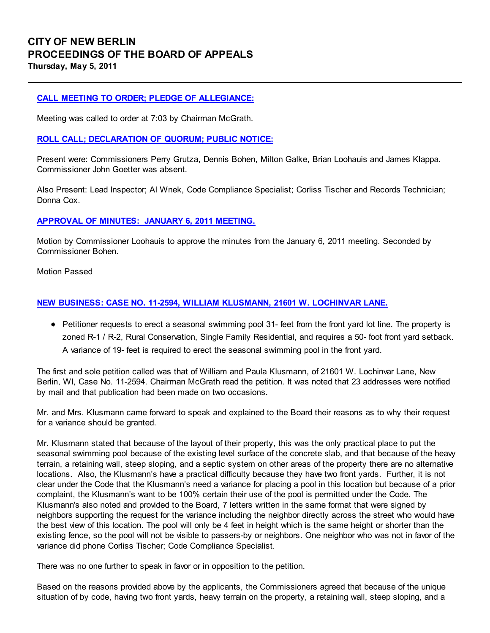# CITY OF NEW BERLIN PROCEEDINGS OF THE BOARD OF APPEALS Thursday, May 5, 2011

## CALL MEETING TO ORDER; PLEDGE OF ALLEGIANCE:

Meeting was called to order at 7:03 by Chairman McGrath.

### ROLL CALL; DECLARATION OF QUORUM; PUBLIC NOTICE:

Present were: Commissioners Perry Grutza, Dennis Bohen, Milton Galke, Brian Loohauis and James Klappa. Commissioner John Goetter was absent.

Also Present: Lead Inspector; Al Wnek, Code Compliance Specialist; Corliss Tischer and Records Technician; Donna Cox.

#### APPROVAL OF MINUTES: JANUARY 6, 2011 MEETING.

Motion by Commissioner Loohauis to approve the minutes from the January 6, 2011 meeting. Seconded by Commissioner Bohen.

Motion Passed

#### NEW BUSINESS: CASE NO. 11-2594, WILLIAM KLUSMANN, 21601 W. LOCHINVAR LANE.

• Petitioner requests to erect a seasonal swimming pool 31- feet from the front yard lot line. The property is zoned R-1 / R-2, Rural Conservation, Single Family Residential, and requires a 50- foot front yard setback. A variance of 19- feet is required to erect the seasonal swimming pool in the front yard.

The first and sole petition called was that of William and Paula Klusmann, of 21601 W. Lochinvar Lane, New Berlin, WI, Case No. 11-2594. Chairman McGrath read the petition. It was noted that 23 addresses were notified by mail and that publication had been made on two occasions.

Mr. and Mrs. Klusmann came forward to speak and explained to the Board their reasons as to why their request for a variance should be granted.

Mr. Klusmann stated that because of the layout of their property, this was the only practical place to put the seasonal swimming pool because of the existing level surface of the concrete slab, and that because of the heavy terrain, a retaining wall, steep sloping, and a septic system on other areas of the property there are no alternative locations. Also, the Klusmann's have a practical difficulty because they have two front yards. Further, it is not clear under the Code that the Klusmann's need a variance for placing a pool in this location but because of a prior complaint, the Klusmann's want to be 100% certain their use of the pool is permitted under the Code. The Klusmann's also noted and provided to the Board, 7 letters written in the same format that were signed by neighbors supporting the request for the variance including the neighbor directly across the street who would have the best view of this location. The pool will only be 4 feet in height which is the same height or shorter than the existing fence, so the pool will not be visible to passers-by or neighbors. One neighbor who was not in favor of the variance did phone Corliss Tischer; Code Compliance Specialist.

There was no one further to speak in favor or in opposition to the petition.

Based on the reasons provided above by the applicants, the Commissioners agreed that because of the unique situation of by code, having two front yards, heavy terrain on the property, a retaining wall, steep sloping, and a